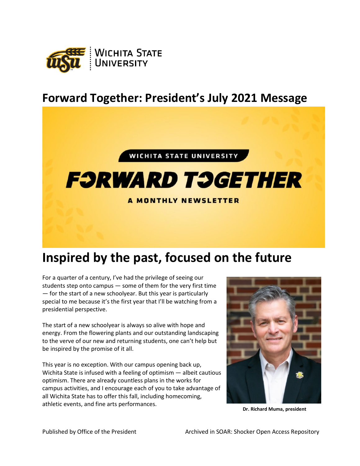

## **Forward Together: President's July 2021 Message**



## **F:JRWARD T:JGETHER**

## **A MONTHLY NEWSLETTER**

## **Inspired by the past, focused on the future**

For a quarter of a century, I've had the privilege of seeing our students step onto campus — some of them for the very first time — for the start of a new schoolyear. But this year is particularly special to me because it's the first year that I'll be watching from a presidential perspective.

The start of a new schoolyear is always so alive with hope and energy. From the flowering plants and our outstanding landscaping to the verve of our new and returning students, one can't help but be inspired by the promise of it all.

This year is no exception. With our campus opening back up, Wichita State is infused with a feeling of optimism — albeit cautious optimism. There are already countless plans in the works for campus activities, and I encourage each of you to take advantage of all Wichita State has to offer this fall, including homecoming, athletic events, and fine arts performances. **Dr. Richard Muma, president**